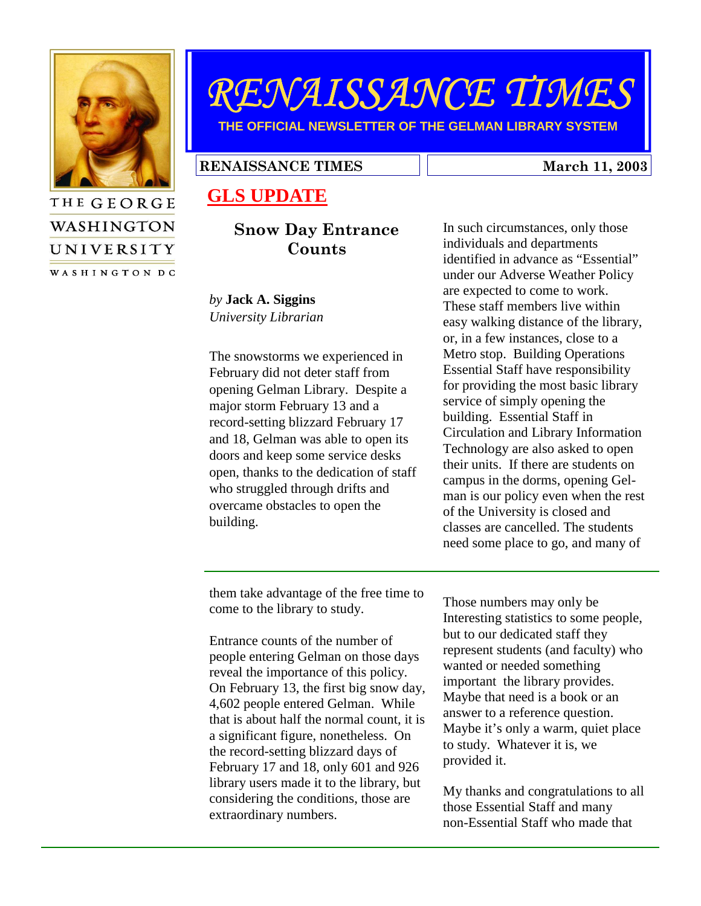

**WASHINGTON** 

UNIVERSITY WASHINGTON DC

# RENAISSANCE TIMES

**THE OFFICIAL NEWSLETTER OF THE GELMAN LIBRARY SYSTEM** 

#### RENAISSANCE TIMES March 11, 2003

## **GLS UPDATE**

#### Snow Day Entrance Counts

*by* **Jack A. Siggins** *University Librarian* 

The snowstorms we experienced in February did not deter staff from opening Gelman Library. Despite a major storm February 13 and a record-setting blizzard February 17 and 18, Gelman was able to open its doors and keep some service desks open, thanks to the dedication of staff who struggled through drifts and overcame obstacles to open the building.

In such circumstances, only those individuals and departments identified in advance as "Essential" under our Adverse Weather Policy are expected to come to work. These staff members live within easy walking distance of the library, or, in a few instances, close to a Metro stop. Building Operations Essential Staff have responsibility for providing the most basic library service of simply opening the building. Essential Staff in Circulation and Library Information Technology are also asked to open their units. If there are students on campus in the dorms, opening Gelman is our policy even when the rest of the University is closed and classes are cancelled. The students need some place to go, and many of

them take advantage of the free time to come to the library to study.

Entrance counts of the number of people entering Gelman on those days reveal the importance of this policy. On February 13, the first big snow day, 4,602 people entered Gelman. While that is about half the normal count, it is a significant figure, nonetheless. On the record-setting blizzard days of February 17 and 18, only 601 and 926 library users made it to the library, but considering the conditions, those are extraordinary numbers.

Those numbers may only be Interesting statistics to some people, but to our dedicated staff they represent students (and faculty) who wanted or needed something important the library provides. Maybe that need is a book or an answer to a reference question. Maybe it's only a warm, quiet place to study. Whatever it is, we provided it.

My thanks and congratulations to all those Essential Staff and many non-Essential Staff who made that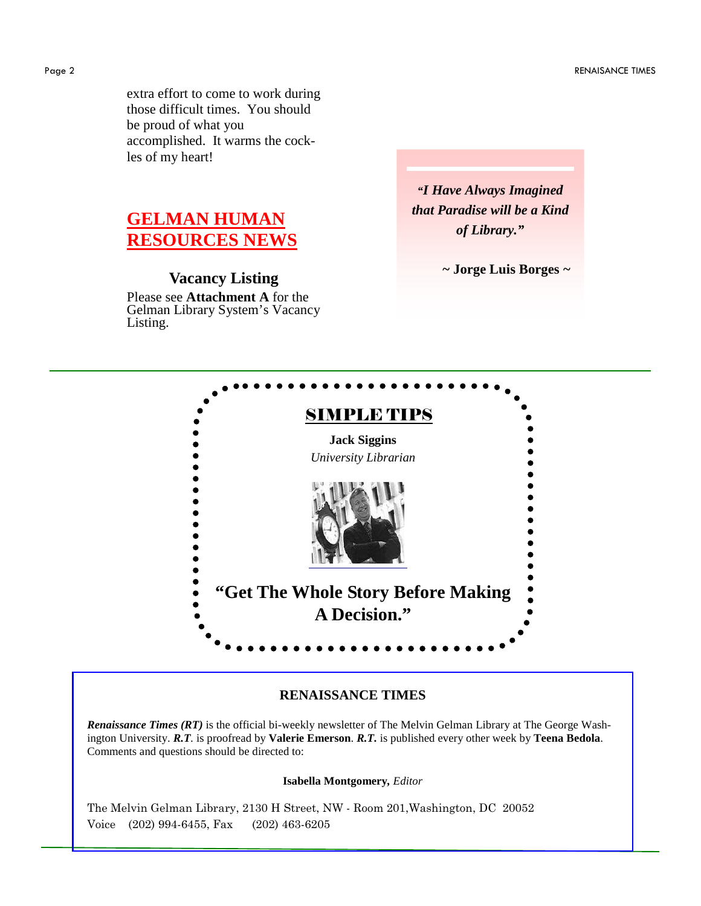extra effort to come to work during those difficult times. You should be proud of what you accomplished. It warms the cockles of my heart!

# **GELMAN HUMAN RESOURCES NEWS**

### **Vacancy Listing**

Please see **Attachment A** for the Gelman Library System's Vacancy Listing.

*"I Have Always Imagined that Paradise will be a Kind of Library."* 

*~* **Jorge Luis Borges** *~* 



#### **RENAISSANCE TIMES**

*Renaissance Times (RT)* is the official bi-weekly newsletter of The Melvin Gelman Library at The George Washington University. *R.T.* is proofread by **Valerie Emerson**. *R.T.* is published every other week by **Teena Bedola**. Comments and questions should be directed to:

**Isabella Montgomery***, Editor*

The Melvin Gelman Library, 2130 H Street, NW - Room 201,Washington, DC 20052 Voice (202) 994-6455, Fax (202) 463-6205